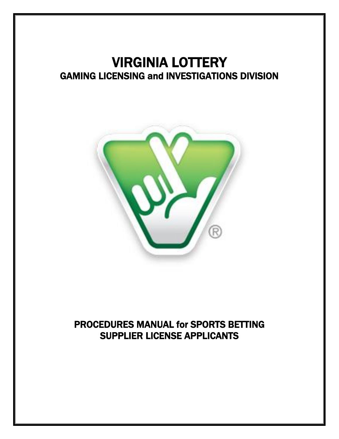# VIRGINIA LOTTERY GAMING LICENSING and INVESTIGATIONS DIVISION



## PROCEDURES MANUAL for SPORTS BETTING SUPPLIER LICENSE APPLICANTS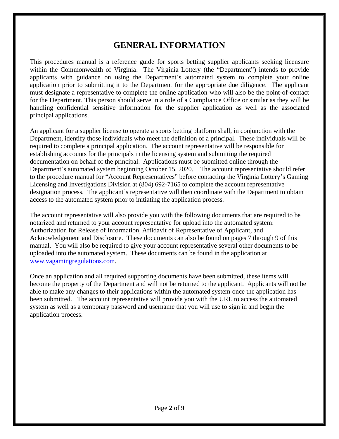### **GENERAL INFORMATION**

This procedures manual is a reference guide for sports betting supplier applicants seeking licensure within the Commonwealth of Virginia. The Virginia Lottery (the "Department") intends to provide applicants with guidance on using the Department's automated system to complete your online application prior to submitting it to the Department for the appropriate due diligence. The applicant must designate a representative to complete the online application who will also be the point-of-contact for the Department. This person should serve in a role of a Compliance Office or similar as they will be handling confidential sensitive information for the supplier application as well as the associated principal applications.

An applicant for a supplier license to operate a sports betting platform shall, in conjunction with the Department, identify those individuals who meet the definition of a principal. These individuals will be required to complete a principal application. The account representative will be responsible for establishing accounts for the principals in the licensing system and submitting the required documentation on behalf of the principal. Applications must be submitted online through the Department's automated system beginning October 15, 2020. The account representative should refer to the procedure manual for "Account Representatives" before contacting the Virginia Lottery's Gaming Licensing and Investigations Division at (804) 692-7165 to complete the account representative designation process. The applicant's representative will then coordinate with the Department to obtain access to the automated system prior to initiating the application process.

The account representative will also provide you with the following documents that are required to be notarized and returned to your account representative for upload into the automated system: Authorization for Release of Information, Affidavit of Representative of Applicant, and Acknowledgement and Disclosure. These documents can also be found on pages 7 through 9 of this manual. You will also be required to give your account representative several other documents to be uploaded into the automated system. These documents can be found in the application at [www.vagamingregulations.com.](http://www.vagamingregulations.com/)

Once an application and all required supporting documents have been submitted, these items will become the property of the Department and will not be returned to the applicant. Applicants will not be able to make any changes to their applications within the automated system once the application has been submitted. The account representative will provide you with the URL to access the automated system as well as a temporary password and username that you will use to sign in and begin the application process.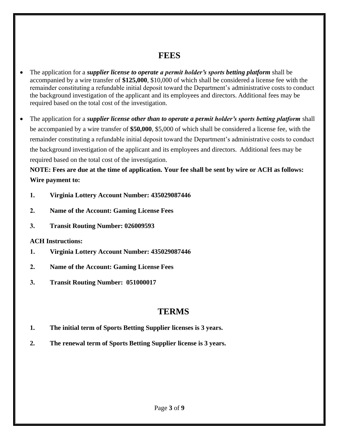### **FEES**

- The application for a *supplier license to operate a permit holder's sports betting platform* shall be accompanied by a wire transfer of **\$125,000**, \$10,000 of which shall be considered a license fee with the remainder constituting a refundable initial deposit toward the Department's administrative costs to conduct the background investigation of the applicant and its employees and directors. Additional fees may be required based on the total cost of the investigation.
- The application for a *supplier license other than to operate a permit holder's sports betting platform* shall be accompanied by a wire transfer of **\$50,000**, \$5,000 of which shall be considered a license fee, with the remainder constituting a refundable initial deposit toward the Department's administrative costs to conduct the background investigation of the applicant and its employees and directors. Additional fees may be required based on the total cost of the investigation.

### **NOTE: Fees are due at the time of application. Your fee shall be sent by wire or ACH as follows: Wire payment to:**

- **1. Virginia Lottery Account Number: 435029087446**
- **2. Name of the Account: Gaming License Fees**
- **3. Transit Routing Number: 026009593**

### **ACH Instructions:**

- **1. Virginia Lottery Account Number: 435029087446**
- **2. Name of the Account: Gaming License Fees**
- **3. Transit Routing Number: 051000017**

### **TERMS**

- **1. The initial term of Sports Betting Supplier licenses is 3 years.**
- **2. The renewal term of Sports Betting Supplier license is 3 years.**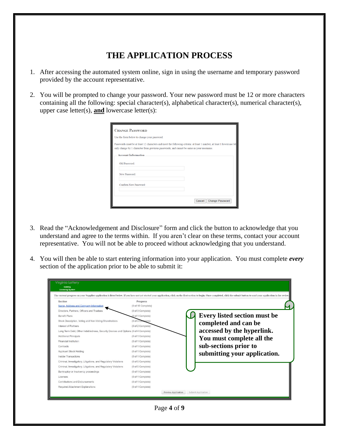### **THE APPLICATION PROCESS**

- 1. After accessing the automated system online, sign in using the username and temporary password provided by the account representative.
- 2. You will be prompted to change your password. Your new password must be 12 or more characters containing all the following: special character(s), alphabetical character(s), numerical character(s), upper case letter(s), **and** lowercase letter(s):

| Use the form below to change your password.                                                                           |  |  |
|-----------------------------------------------------------------------------------------------------------------------|--|--|
| Passwords must be at least 12 characters and meet the following criteria: at least 1 number, at least 1 lowercase let |  |  |
| only change by 1 character from previous passwords; and cannot be same as your username.                              |  |  |
| <b>Account Information</b>                                                                                            |  |  |
| Old Password:                                                                                                         |  |  |
|                                                                                                                       |  |  |
| New Password:                                                                                                         |  |  |
|                                                                                                                       |  |  |
| Confirm New Password:                                                                                                 |  |  |
|                                                                                                                       |  |  |

- 3. Read the "Acknowledgement and Disclosure" form and click the button to acknowledge that you understand and agree to the terms within. If you aren't clear on these terms, contact your account representative. You will not be able to proceed without acknowledging that you understand.
- 4. You will then be able to start entering information into your application. You must complete *every* section of the application prior to be able to submit it:

|                                                                                    |                    | The current progress on your Supplier application is listed below. If you have not yet started your application, click on the first section to begin. Once completed, click the submit button to send your application in for |
|------------------------------------------------------------------------------------|--------------------|-------------------------------------------------------------------------------------------------------------------------------------------------------------------------------------------------------------------------------|
| Section                                                                            | Progress           |                                                                                                                                                                                                                               |
| Name, Address and Company Information                                              | (0 of 15 Complete) |                                                                                                                                                                                                                               |
| Directors, Partners, Officers and Trustees                                         | (0 of 3 Complete)  |                                                                                                                                                                                                                               |
| Benefit Plans                                                                      | (0 of 1 Complete)  | <b>Every listed section must be</b>                                                                                                                                                                                           |
| Stock Description, Voting and Non-Voting Shareholders                              | (0 of 3 Complete)  | completed and can be                                                                                                                                                                                                          |
| Interest of Partners                                                               | (0 of 2 Complete)  |                                                                                                                                                                                                                               |
| Long Term Debt, Other Indebtedness, Security Devices and Options (0 of 4 Complete) |                    | accessed by the hyperlink.                                                                                                                                                                                                    |
| <b>Additional Principals</b>                                                       | (0 of 1 Complete)  |                                                                                                                                                                                                                               |
| Financial Institution                                                              | (0 of 1 Complete)  | You must complete all the                                                                                                                                                                                                     |
| Contracts                                                                          | (0 of 1 Complete)  | sub-sections prior to                                                                                                                                                                                                         |
| Applicant Stock Holding                                                            | (0 of 1 Complete)  |                                                                                                                                                                                                                               |
| Insider Transactions                                                               | (0 of 1 Complete)  | submitting your application.                                                                                                                                                                                                  |
| Criminal, Investigatory, Litigations, and Regulatory Violations                    | (0 of 5 Complete)  |                                                                                                                                                                                                                               |
| Criminal, Investigatory, Litigations, and Regulatory Violations                    | (0 of 5 Complete)  |                                                                                                                                                                                                                               |
| Bankruptcy or Insolvency proceedings                                               | (0 of 1 Complete)  |                                                                                                                                                                                                                               |
| Licenses                                                                           | (0 of 1 Complete)  |                                                                                                                                                                                                                               |
| Contributions and Disbursements                                                    | (0 of 1 Complete)  |                                                                                                                                                                                                                               |
| Required Attachment Explanations                                                   | (0 of 1 Complete)  |                                                                                                                                                                                                                               |

Page **4** of **9**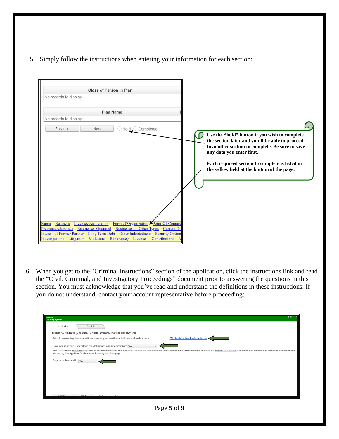5. Simply follow the instructions when entering your information for each section:

| <b>Class of Person in Plan</b>                                                                                                                                                                                                                                                                                                                                                                              |                                                                                                                                                                                                                                                                                   |
|-------------------------------------------------------------------------------------------------------------------------------------------------------------------------------------------------------------------------------------------------------------------------------------------------------------------------------------------------------------------------------------------------------------|-----------------------------------------------------------------------------------------------------------------------------------------------------------------------------------------------------------------------------------------------------------------------------------|
| No records to display.                                                                                                                                                                                                                                                                                                                                                                                      |                                                                                                                                                                                                                                                                                   |
|                                                                                                                                                                                                                                                                                                                                                                                                             |                                                                                                                                                                                                                                                                                   |
| <b>Plan Name</b>                                                                                                                                                                                                                                                                                                                                                                                            |                                                                                                                                                                                                                                                                                   |
| No records to display.                                                                                                                                                                                                                                                                                                                                                                                      |                                                                                                                                                                                                                                                                                   |
| Previous<br><b>Next</b><br>$\bigcirc$ Hold $\bigcirc$ Completed                                                                                                                                                                                                                                                                                                                                             |                                                                                                                                                                                                                                                                                   |
|                                                                                                                                                                                                                                                                                                                                                                                                             | Use the "hold" button if you wish to complete<br>the section later and you'll be able to proceed<br>to another section to complete. Be sure to save<br>any data you enter first.<br>Each required section to complete is listed in<br>the yellow field at the bottom of the page. |
| Form of Organization Point-Of-Contact<br><b>Licensee Association</b><br><b>Business</b><br>Name<br><b>Previous Addresses</b><br><b>Businesses of Other Types</b><br><b>Businesses Operated</b><br><b>Current Direct</b><br>Long Term Debt Other Indebtedness<br><b>Interest of Former Partner</b><br><b>Security Option</b><br>Violations Bankruptcy Licenses<br>Investigations Litigation<br>Contributions |                                                                                                                                                                                                                                                                                   |

6. When you get to the "Criminal Instructions" section of the application, click the instructions link and read the "Civil, Criminal, and Investigatory Proceedings" document prior to answering the questions in this section. You must acknowledge that you've read and understand the definitions in these instructions. If you do not understand, contact your account representative before proceeding:

| Application<br>On Hold<br><b>CRIMINAL HISTORY (Directors, Partners, Officers, Trustees and Owners)</b>                                                                                                                                                                           |
|----------------------------------------------------------------------------------------------------------------------------------------------------------------------------------------------------------------------------------------------------------------------------------|
|                                                                                                                                                                                                                                                                                  |
|                                                                                                                                                                                                                                                                                  |
| <b>Click Here for Instructions &lt;</b><br>Prior to answering these questions, carefully review the definitions and instructions:                                                                                                                                                |
| Have you read and understood the definitions and instructions? Yes                                                                                                                                                                                                               |
| The Department will make inquiries to establish whether the identified individuals have had any involvement with law enforcement agencies. Failure to disclose any such involvement will be taken into account in<br>assessing the Applicant's character, honesty and integrity. |
| Do you understand?<br>Yes                                                                                                                                                                                                                                                        |
|                                                                                                                                                                                                                                                                                  |
|                                                                                                                                                                                                                                                                                  |
|                                                                                                                                                                                                                                                                                  |
|                                                                                                                                                                                                                                                                                  |
| □ O Hold ○ Completed<br>Previous New<br>Next                                                                                                                                                                                                                                     |
|                                                                                                                                                                                                                                                                                  |
| Page 5 of 9                                                                                                                                                                                                                                                                      |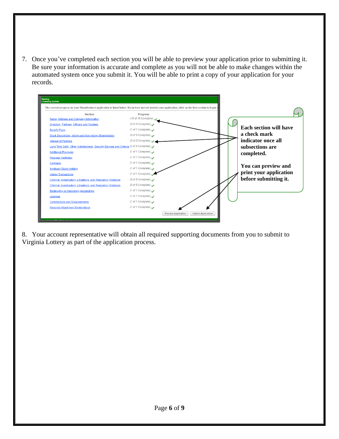7. Once you've completed each section you will be able to preview your application prior to submitting it. Be sure your information is accurate and complete as you will not be able to make changes within the automated system once you submit it. You will be able to print a copy of your application for your records.



8. Your account representative will obtain all required supporting documents from you to submit to Virginia Lottery as part of the application process.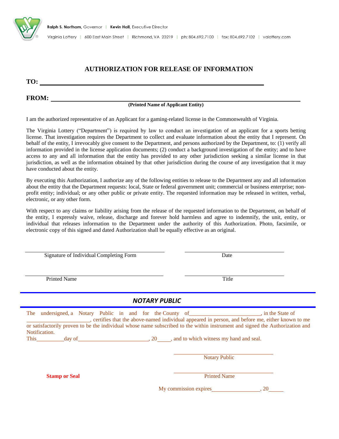

Virginia Lottery | 600 East Main Street | Richmond, VA 23219 | ph: 804.692.7100 | fax: 804.692.7102 | valottery.com

### **AUTHORIZATION FOR RELEASE OF INFORMATION**

**TO:** 

#### **FROM:**

#### **(Printed Name of Applicant Entity)**

I am the authorized representative of an Applicant for a gaming-related license in the Commonwealth of Virginia.

The Virginia Lottery ("Department") is required by law to conduct an investigation of an applicant for a sports betting license. That investigation requires the Department to collect and evaluate information about the entity that I represent. On behalf of the entity, I irrevocably give consent to the Department, and persons authorized by the Department, to: (1) verify all information provided in the license application documents; (2) conduct a background investigation of the entity; and to have access to any and all information that the entity has provided to any other jurisdiction seeking a similar license in that jurisdiction, as well as the information obtained by that other jurisdiction during the course of any investigation that it may have conducted about the entity.

By executing this Authorization, I authorize any of the following entities to release to the Department any and all information about the entity that the Department requests: local, State or federal government unit; commercial or business enterprise; nonprofit entity; individual; or any other public or private entity. The requested information may be released in written, verbal, electronic, or any other form.

With respect to any claims or liability arising from the release of the requested information to the Department, on behalf of the entity, I expressly waive, release, discharge and forever hold harmless and agree to indemnify, the unit, entity, or individual that releases information to the Department under the authority of this Authorization. Photo, facsimile, or electronic copy of this signed and dated Authorization shall be equally effective as an original.

Signature of Individual Completing Form Date

Printed Name Title

#### *NOTARY PUBLIC*

| The undersigned, a Notary Public in and for the County of |                                                                                                                                                                                                                                |  |      |  |                      |                                        | in the State of<br>, certifies that the above-named individual appeared in person, and before me, either known to me          |
|-----------------------------------------------------------|--------------------------------------------------------------------------------------------------------------------------------------------------------------------------------------------------------------------------------|--|------|--|----------------------|----------------------------------------|-------------------------------------------------------------------------------------------------------------------------------|
|                                                           |                                                                                                                                                                                                                                |  |      |  |                      |                                        | or satisfactorily proven to be the individual whose name subscribed to the within instrument and signed the Authorization and |
| Notification.                                             |                                                                                                                                                                                                                                |  |      |  |                      |                                        |                                                                                                                               |
|                                                           |                                                                                                                                                                                                                                |  |      |  |                      |                                        |                                                                                                                               |
| <b>This</b>                                               | day of the contract of the contract of the contract of the contract of the contract of the contract of the contract of the contract of the contract of the contract of the contract of the contract of the contract of the con |  | , 20 |  |                      | and to which witness my hand and seal. |                                                                                                                               |
|                                                           |                                                                                                                                                                                                                                |  |      |  |                      |                                        |                                                                                                                               |
|                                                           |                                                                                                                                                                                                                                |  |      |  |                      |                                        |                                                                                                                               |
|                                                           |                                                                                                                                                                                                                                |  |      |  | <b>Notary Public</b> |                                        |                                                                                                                               |

**Stamp or Seal** Printed Name **Printed Name** 

My commission expires , 20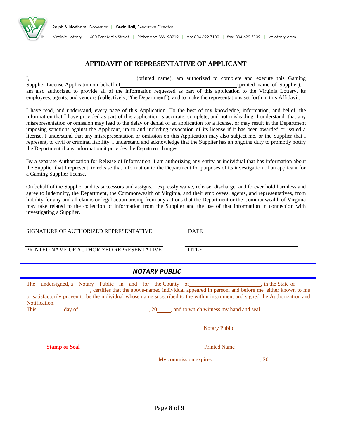

#### **AFFIDAVIT OF REPRESENTATIVE OF APPLICANT**

I, (printed name), am authorized to complete and execute this Gaming Supplier License Application on behalf of (printed name of Supplier). I am also authorized to provide all of the information requested as part of this application to the Virginia Lottery, its employees, agents, and vendors (collectively, "the Department"), and to make the representations set forth in this Affidavit.

I have read, and understand, every page of this Application. To the best of my knowledge, information, and belief, the information that I have provided as part of this application is accurate, complete, and not misleading. I understand that any misrepresentation or omission may lead to the delay or denial of an application for a license, or may result in the Department imposing sanctions against the Applicant, up to and including revocation of its license if it has been awarded or issued a license. I understand that any misrepresentation or omission on this Application may also subject me, or the Supplier that I represent, to civil or criminal liability. I understand and acknowledge that the Supplier has an ongoing duty to promptly notify the Department if any information it provides the Department changes.

By a separate Authorization for Release of Information, I am authorizing any entity or individual that has information about the Supplier that I represent, to release that information to the Department for purposes of its investigation of an applicant for a Gaming Supplier license.

On behalf of the Supplier and its successors and assigns, I expressly waive, release, discharge, and forever hold harmless and agree to indemnify, the Department, the Commonwealth of Virginia, and their employees, agents, and representatives, from liability for any and all claims or legal action arising from any actions that the Department or the Commonwealth of Virginia may take related to the collection of information from the Supplier and the use of that information in connection with investigating a Supplier.

SIGNATURE OF AUTHORIZED REPRESENTATIVE DATE

PRINTED NAME OF AUTHORIZED REPRESENTATIVE TITLE

*NOTARY PUBLIC*

|             | The undersigned a Notary Public in and for the County of |  |  |    |  | in the State of                                                                                                               |
|-------------|----------------------------------------------------------|--|--|----|--|-------------------------------------------------------------------------------------------------------------------------------|
|             |                                                          |  |  |    |  | electrifies that the above-named individual appeared in person, and before me, either known to me,                            |
|             |                                                          |  |  |    |  | or satisfactorily proven to be the individual whose name subscribed to the within instrument and signed the Authorization and |
|             | Notification.                                            |  |  |    |  |                                                                                                                               |
| <b>This</b> | day of                                                   |  |  | 20 |  | , and to which witness my hand and seal.                                                                                      |

**Notary Public** 

**Stamp or Seal** Printed Name

My commission expires , 20